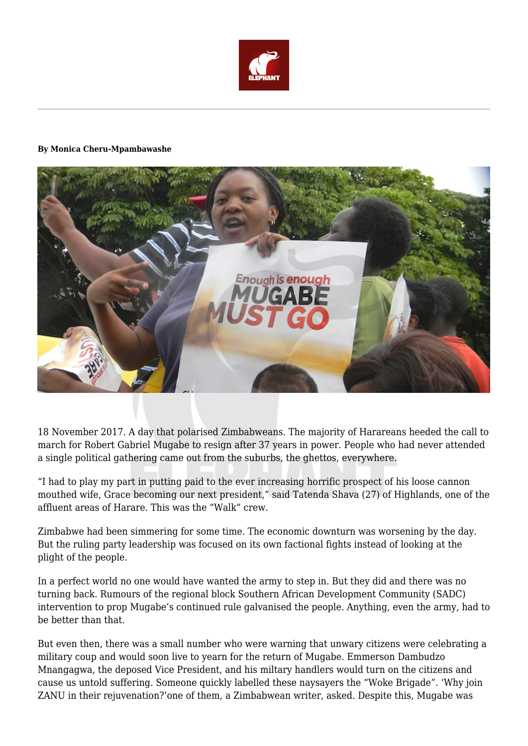

## **By Monica Cheru-Mpambawashe**



18 November 2017. A day that polarised Zimbabweans. The majority of Harareans heeded the call to march for Robert Gabriel Mugabe to resign after 37 years in power. People who had never attended a single political gathering came out from the suburbs, the ghettos, everywhere.

"I had to play my part in putting paid to the ever increasing horrific prospect of his loose cannon mouthed wife, Grace becoming our next president," said Tatenda Shava (27) of Highlands, one of the affluent areas of Harare. This was the "Walk" crew.

Zimbabwe had been simmering for some time. The economic downturn was worsening by the day. But the ruling party leadership was focused on its own factional fights instead of looking at the plight of the people.

In a perfect world no one would have wanted the army to step in. But they did and there was no turning back. Rumours of the regional block Southern African Development Community (SADC) intervention to prop Mugabe's continued rule galvanised the people. Anything, even the army, had to be better than that.

But even then, there was a small number who were warning that unwary citizens were celebrating a military coup and would soon live to yearn for the return of Mugabe. Emmerson Dambudzo Mnangagwa, the deposed Vice President, and his miltary handlers would turn on the citizens and cause us untold suffering. Someone quickly labelled these naysayers the "Woke Brigade". 'Why join ZANU in their rejuvenation?'one of them, a Zimbabwean writer, asked. Despite this, Mugabe was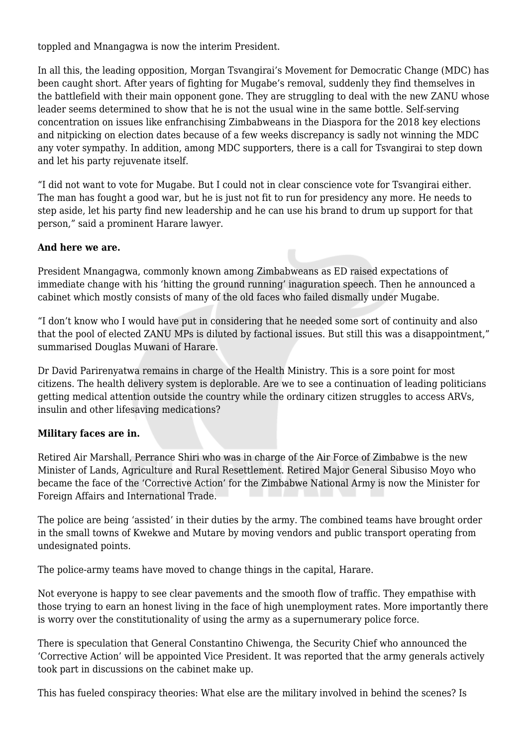toppled and Mnangagwa is now the interim President.

In all this, the leading opposition, Morgan Tsvangirai's Movement for Democratic Change (MDC) has been caught short. After years of fighting for Mugabe's removal, suddenly they find themselves in the battlefield with their main opponent gone. They are struggling to deal with the new ZANU whose leader seems determined to show that he is not the usual wine in the same bottle. Self-serving concentration on issues like enfranchising Zimbabweans in the Diaspora for the 2018 key elections and nitpicking on election dates because of a few weeks discrepancy is sadly not winning the MDC any voter sympathy. In addition, among MDC supporters, there is a call for Tsvangirai to step down and let his party rejuvenate itself.

"I did not want to vote for Mugabe. But I could not in clear conscience vote for Tsvangirai either. The man has fought a good war, but he is just not fit to run for presidency any more. He needs to step aside, let his party find new leadership and he can use his brand to drum up support for that person," said a prominent Harare lawyer.

## **And here we are.**

President Mnangagwa, commonly known among Zimbabweans as ED raised expectations of immediate change with his 'hitting the ground running' inaguration speech. Then he announced a cabinet which mostly consists of many of the old faces who failed dismally under Mugabe.

"I don't know who I would have put in considering that he needed some sort of continuity and also that the pool of elected ZANU MPs is diluted by factional issues. But still this was a disappointment," summarised Douglas Muwani of Harare.

Dr David Parirenyatwa remains in charge of the Health Ministry. This is a sore point for most citizens. The health delivery system is deplorable. Are we to see a continuation of leading politicians getting medical attention outside the country while the ordinary citizen struggles to access ARVs, insulin and other lifesaving medications?

## **Military faces are in.**

Retired Air Marshall, Perrance Shiri who was in charge of the Air Force of Zimbabwe is the new Minister of Lands, Agriculture and Rural Resettlement. Retired Major General Sibusiso Moyo who became the face of the 'Corrective Action' for the Zimbabwe National Army is now the Minister for Foreign Affairs and International Trade.

The police are being 'assisted' in their duties by the army. The combined teams have brought order in the small towns of Kwekwe and Mutare by moving vendors and public transport operating from undesignated points.

The police-army teams have moved to change things in the capital, Harare.

Not everyone is happy to see clear pavements and the smooth flow of traffic. They empathise with those trying to earn an honest living in the face of high unemployment rates. More importantly there is worry over the constitutionality of using the army as a supernumerary police force.

There is speculation that General Constantino Chiwenga, the Security Chief who announced the 'Corrective Action' will be appointed Vice President. It was reported that the army generals actively took part in discussions on the cabinet make up.

This has fueled conspiracy theories: What else are the military involved in behind the scenes? Is